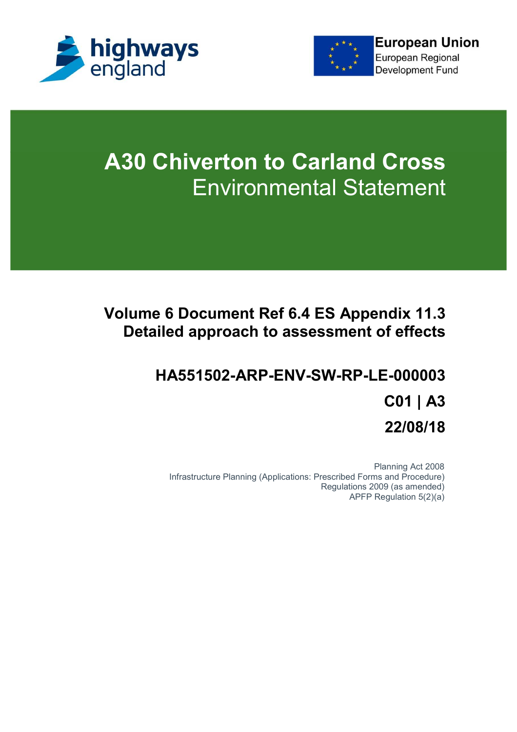



# **A30 Chiverton to Carland Cross** Environmental Statement

## **Volume 6 Document Ref 6.4 ES Appendix 11.3 Detailed approach to assessment of effects**

## **HA551502-ARP-ENV-SW-RP-LE-000003 C01 | A3 22/08/18**

Planning Act 2008 Infrastructure Planning (Applications: Prescribed Forms and Procedure) Regulations 2009 (as amended) APFP Regulation 5(2)(a)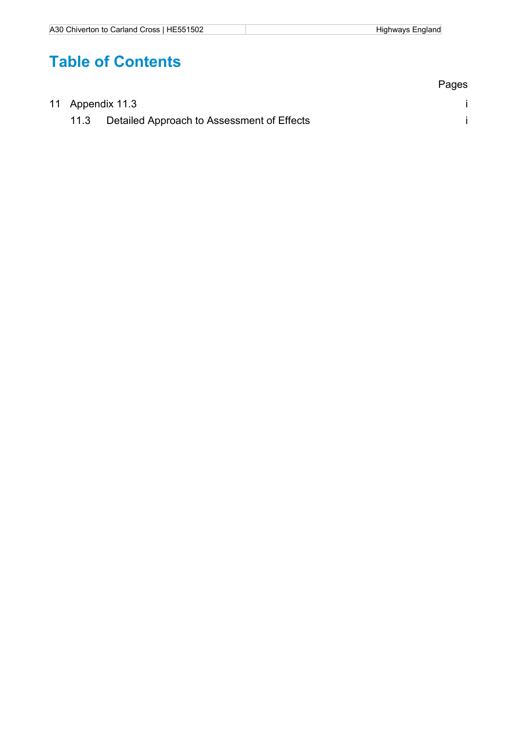## **Table of Contents**

|  |                  |                                                 | Pages |
|--|------------------|-------------------------------------------------|-------|
|  | 11 Appendix 11.3 |                                                 |       |
|  |                  | 11.3 Detailed Approach to Assessment of Effects |       |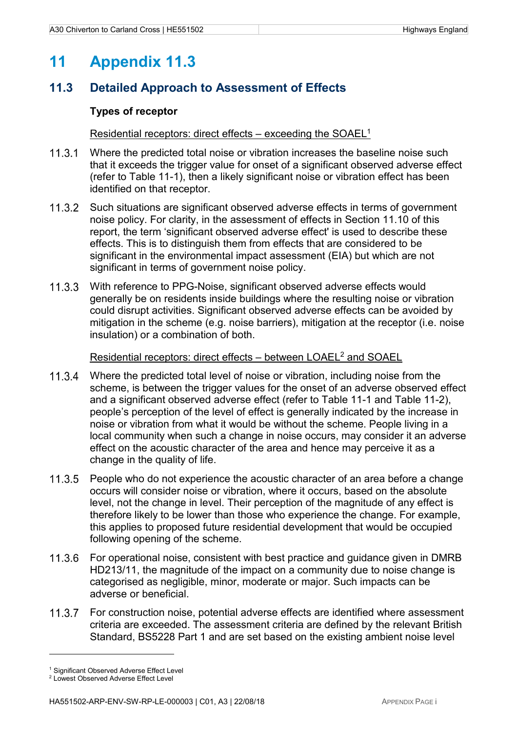## **11 Appendix 11.3**

### **11.3 Detailed Approach to Assessment of Effects**

#### **Types of receptor**

#### Residential receptors: direct effects – exceeding the SOAEL<sup>1</sup>

- Where the predicted total noise or vibration increases the baseline noise such that it exceeds the trigger value for onset of a significant observed adverse effect (refer to Table 11-1), then a likely significant noise or vibration effect has been identified on that receptor.
- 11.3.2 Such situations are significant observed adverse effects in terms of government noise policy. For clarity, in the assessment of effects in Section 11.10 of this report, the term 'significant observed adverse effect' is used to describe these effects. This is to distinguish them from effects that are considered to be significant in the environmental impact assessment (EIA) but which are not significant in terms of government noise policy.
- With reference to PPG-Noise, significant observed adverse effects would generally be on residents inside buildings where the resulting noise or vibration could disrupt activities. Significant observed adverse effects can be avoided by mitigation in the scheme (e.g. noise barriers), mitigation at the receptor (i.e. noise insulation) or a combination of both.

#### Residential receptors: direct effects – between LOAEL<sup>2</sup> and SOAEL

- Where the predicted total level of noise or vibration, including noise from the scheme, is between the trigger values for the onset of an adverse observed effect and a significant observed adverse effect (refer to Table 11-1 and Table 11-2), people's perception of the level of effect is generally indicated by the increase in noise or vibration from what it would be without the scheme. People living in a local community when such a change in noise occurs, may consider it an adverse effect on the acoustic character of the area and hence may perceive it as a change in the quality of life.
- 11.3.5 People who do not experience the acoustic character of an area before a change occurs will consider noise or vibration, where it occurs, based on the absolute level, not the change in level. Their perception of the magnitude of any effect is therefore likely to be lower than those who experience the change. For example, this applies to proposed future residential development that would be occupied following opening of the scheme.
- For operational noise, consistent with best practice and guidance given in DMRB HD213/11, the magnitude of the impact on a community due to noise change is categorised as negligible, minor, moderate or major. Such impacts can be adverse or beneficial.
- 11.3.7 For construction noise, potential adverse effects are identified where assessment criteria are exceeded. The assessment criteria are defined by the relevant British Standard, BS5228 Part 1 and are set based on the existing ambient noise level

 $\overline{a}$ 

<sup>&</sup>lt;sup>1</sup> Significant Observed Adverse Effect Level

<sup>2</sup> Lowest Observed Adverse Effect Level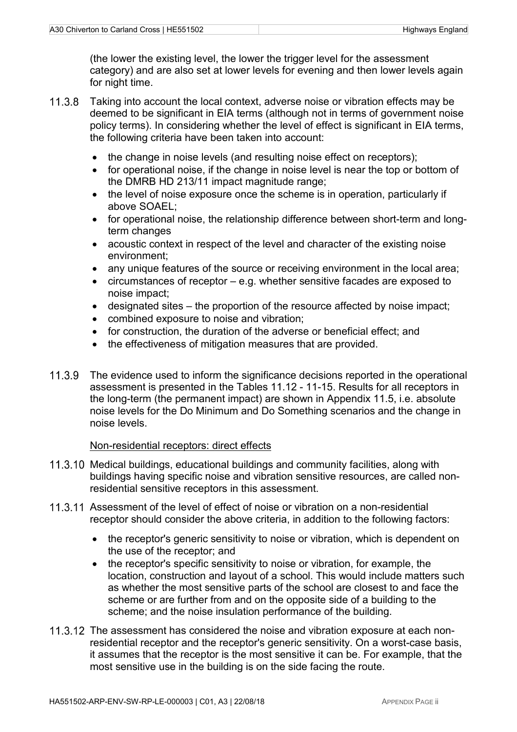(the lower the existing level, the lower the trigger level for the assessment category) and are also set at lower levels for evening and then lower levels again for night time.

- 11.3.8 Taking into account the local context, adverse noise or vibration effects may be deemed to be significant in EIA terms (although not in terms of government noise policy terms). In considering whether the level of effect is significant in EIA terms, the following criteria have been taken into account:
	- the change in noise levels (and resulting noise effect on receptors);
	- for operational noise, if the change in noise level is near the top or bottom of the DMRB HD 213/11 impact magnitude range;
	- the level of noise exposure once the scheme is in operation, particularly if above SOAEL;
	- for operational noise, the relationship difference between short-term and longterm changes
	- acoustic context in respect of the level and character of the existing noise environment;
	- any unique features of the source or receiving environment in the local area;
	- circumstances of receptor e.g. whether sensitive facades are exposed to noise impact;
	- designated sites the proportion of the resource affected by noise impact;
	- combined exposure to noise and vibration;
	- for construction, the duration of the adverse or beneficial effect; and
	- the effectiveness of mitigation measures that are provided.
- 11.3.9 The evidence used to inform the significance decisions reported in the operational assessment is presented in the Tables 11.12 - 11-15. Results for all receptors in the long-term (the permanent impact) are shown in Appendix 11.5, i.e. absolute noise levels for the Do Minimum and Do Something scenarios and the change in noise levels.

#### Non-residential receptors: direct effects

- 11.3.10 Medical buildings, educational buildings and community facilities, along with buildings having specific noise and vibration sensitive resources, are called nonresidential sensitive receptors in this assessment.
- 11.3.11 Assessment of the level of effect of noise or vibration on a non-residential receptor should consider the above criteria, in addition to the following factors:
	- the receptor's generic sensitivity to noise or vibration, which is dependent on the use of the receptor; and
	- the receptor's specific sensitivity to noise or vibration, for example, the location, construction and layout of a school. This would include matters such as whether the most sensitive parts of the school are closest to and face the scheme or are further from and on the opposite side of a building to the scheme; and the noise insulation performance of the building.
- 11.3.12 The assessment has considered the noise and vibration exposure at each nonresidential receptor and the receptor's generic sensitivity. On a worst-case basis, it assumes that the receptor is the most sensitive it can be. For example, that the most sensitive use in the building is on the side facing the route.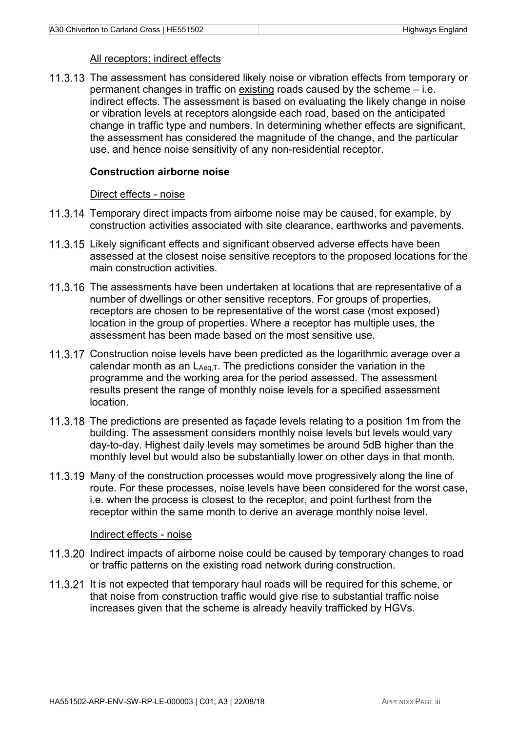#### All receptors: indirect effects

11.3.13 The assessment has considered likely noise or vibration effects from temporary or permanent changes in traffic on existing roads caused by the scheme – i.e. indirect effects. The assessment is based on evaluating the likely change in noise or vibration levels at receptors alongside each road, based on the anticipated change in traffic type and numbers. In determining whether effects are significant, the assessment has considered the magnitude of the change, and the particular use, and hence noise sensitivity of any non-residential receptor.

#### **Construction airborne noise**

#### Direct effects - noise

- 11.3.14 Temporary direct impacts from airborne noise may be caused, for example, by construction activities associated with site clearance, earthworks and pavements.
- 11.3.15 Likely significant effects and significant observed adverse effects have been assessed at the closest noise sensitive receptors to the proposed locations for the main construction activities.
- 11.3.16 The assessments have been undertaken at locations that are representative of a number of dwellings or other sensitive receptors. For groups of properties, receptors are chosen to be representative of the worst case (most exposed) location in the group of properties. Where a receptor has multiple uses, the assessment has been made based on the most sensitive use.
- 11.3.17 Construction noise levels have been predicted as the logarithmic average over a calendar month as an LAeq, T. The predictions consider the variation in the programme and the working area for the period assessed. The assessment results present the range of monthly noise levels for a specified assessment location.
- 11.3.18 The predictions are presented as façade levels relating to a position 1m from the building. The assessment considers monthly noise levels but levels would vary day-to-day. Highest daily levels may sometimes be around 5dB higher than the monthly level but would also be substantially lower on other days in that month.
- 11.3.19 Many of the construction processes would move progressively along the line of route. For these processes, noise levels have been considered for the worst case, i.e. when the process is closest to the receptor, and point furthest from the receptor within the same month to derive an average monthly noise level.

#### Indirect effects - noise

- 11.3.20 Indirect impacts of airborne noise could be caused by temporary changes to road or traffic patterns on the existing road network during construction.
- 11.3.21 It is not expected that temporary haul roads will be required for this scheme, or that noise from construction traffic would give rise to substantial traffic noise increases given that the scheme is already heavily trafficked by HGVs.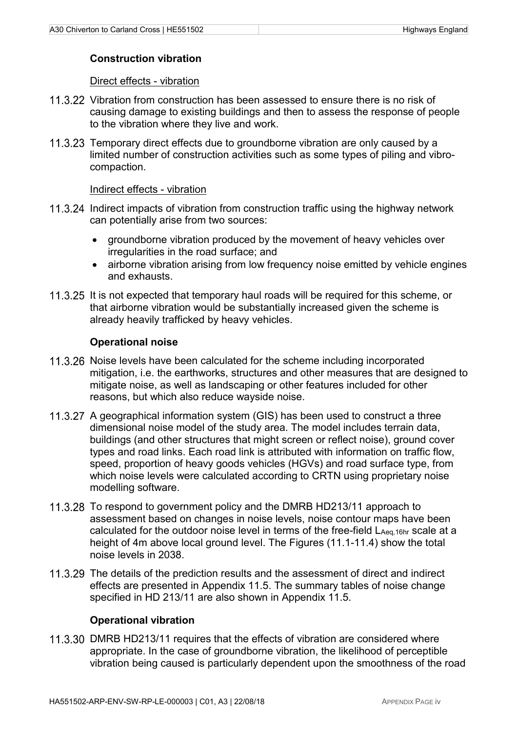#### **Construction vibration**

#### Direct effects - vibration

- 11.3.22 Vibration from construction has been assessed to ensure there is no risk of causing damage to existing buildings and then to assess the response of people to the vibration where they live and work.
- 11.3.23 Temporary direct effects due to groundborne vibration are only caused by a limited number of construction activities such as some types of piling and vibrocompaction.

#### Indirect effects - vibration

- 11.3.24 Indirect impacts of vibration from construction traffic using the highway network can potentially arise from two sources:
	- groundborne vibration produced by the movement of heavy vehicles over irregularities in the road surface; and
	- airborne vibration arising from low frequency noise emitted by vehicle engines and exhausts.
- 11.3.25 It is not expected that temporary haul roads will be required for this scheme, or that airborne vibration would be substantially increased given the scheme is already heavily trafficked by heavy vehicles.

#### **Operational noise**

- 11.3.26 Noise levels have been calculated for the scheme including incorporated mitigation, i.e. the earthworks, structures and other measures that are designed to mitigate noise, as well as landscaping or other features included for other reasons, but which also reduce wayside noise.
- 11.3.27 A geographical information system (GIS) has been used to construct a three dimensional noise model of the study area. The model includes terrain data, buildings (and other structures that might screen or reflect noise), ground cover types and road links. Each road link is attributed with information on traffic flow, speed, proportion of heavy goods vehicles (HGVs) and road surface type, from which noise levels were calculated according to CRTN using proprietary noise modelling software.
- 11.3.28 To respond to government policy and the DMRB HD213/11 approach to assessment based on changes in noise levels, noise contour maps have been calculated for the outdoor noise level in terms of the free-field LAeq, 16hr scale at a height of 4m above local ground level. The Figures (11.1-11.4) show the total noise levels in 2038.
- 11.3.29 The details of the prediction results and the assessment of direct and indirect effects are presented in Appendix 11.5. The summary tables of noise change specified in HD 213/11 are also shown in Appendix 11.5.

#### **Operational vibration**

11.3.30 DMRB HD213/11 requires that the effects of vibration are considered where appropriate. In the case of groundborne vibration, the likelihood of perceptible vibration being caused is particularly dependent upon the smoothness of the road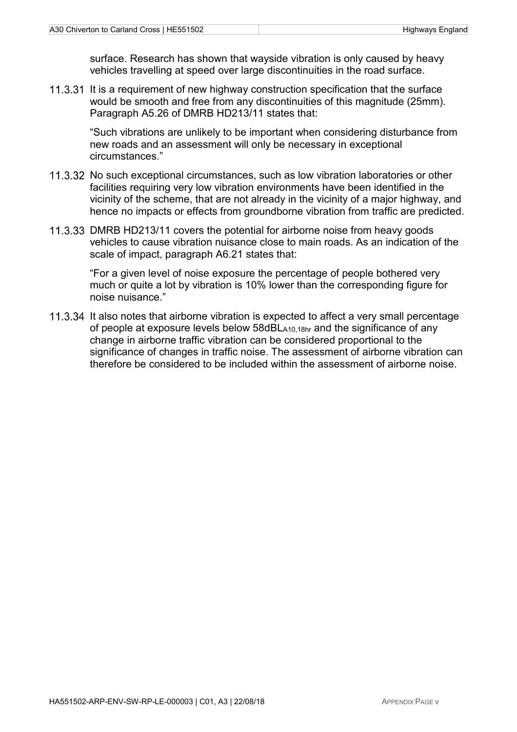surface. Research has shown that wayside vibration is only caused by heavy vehicles travelling at speed over large discontinuities in the road surface.

11.3.31 It is a requirement of new highway construction specification that the surface would be smooth and free from any discontinuities of this magnitude (25mm). Paragraph A5.26 of DMRB HD213/11 states that:

"Such vibrations are unlikely to be important when considering disturbance from new roads and an assessment will only be necessary in exceptional circumstances."

- 11.3.32 No such exceptional circumstances, such as low vibration laboratories or other facilities requiring very low vibration environments have been identified in the vicinity of the scheme, that are not already in the vicinity of a major highway, and hence no impacts or effects from groundborne vibration from traffic are predicted.
- 11.3.33 DMRB HD213/11 covers the potential for airborne noise from heavy goods vehicles to cause vibration nuisance close to main roads. As an indication of the scale of impact, paragraph A6.21 states that:

"For a given level of noise exposure the percentage of people bothered very much or quite a lot by vibration is 10% lower than the corresponding figure for noise nuisance."

11.3.34 It also notes that airborne vibration is expected to affect a very small percentage of people at exposure levels below 58dBLA10,18hr and the significance of any change in airborne traffic vibration can be considered proportional to the significance of changes in traffic noise. The assessment of airborne vibration can therefore be considered to be included within the assessment of airborne noise.